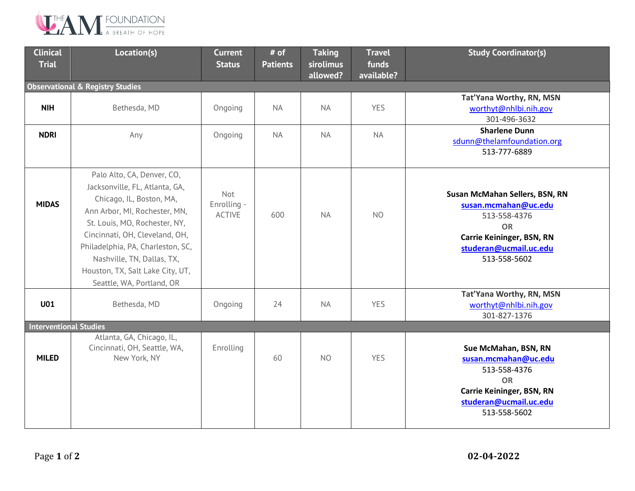

| <b>Clinical</b><br><b>Trial</b>             | Location(s)                                                                                                                                                                                                                                                                                                                      | <b>Current</b><br><b>Status</b>     | # of<br><b>Patients</b> | <b>Taking</b><br>sirolimus | <b>Travel</b><br>funds | <b>Study Coordinator(s)</b>                                                                                                                                       |  |  |  |  |
|---------------------------------------------|----------------------------------------------------------------------------------------------------------------------------------------------------------------------------------------------------------------------------------------------------------------------------------------------------------------------------------|-------------------------------------|-------------------------|----------------------------|------------------------|-------------------------------------------------------------------------------------------------------------------------------------------------------------------|--|--|--|--|
|                                             |                                                                                                                                                                                                                                                                                                                                  |                                     |                         | allowed?                   | available?             |                                                                                                                                                                   |  |  |  |  |
| <b>Observational &amp; Registry Studies</b> |                                                                                                                                                                                                                                                                                                                                  |                                     |                         |                            |                        |                                                                                                                                                                   |  |  |  |  |
| <b>NIH</b>                                  | Bethesda, MD                                                                                                                                                                                                                                                                                                                     | Ongoing                             | <b>NA</b>               | <b>NA</b>                  | <b>YES</b>             | Tat'Yana Worthy, RN, MSN<br>worthyt@nhlbi.nih.gov<br>301-496-3632                                                                                                 |  |  |  |  |
| <b>NDRI</b>                                 | Any                                                                                                                                                                                                                                                                                                                              | Ongoing                             | <b>NA</b>               | <b>NA</b>                  | <b>NA</b>              | <b>Sharlene Dunn</b><br>sdunn@thelamfoundation.org<br>513-777-6889                                                                                                |  |  |  |  |
| <b>MIDAS</b>                                | Palo Alto, CA, Denver, CO,<br>Jacksonville, FL, Atlanta, GA,<br>Chicago, IL, Boston, MA,<br>Ann Arbor, MI, Rochester, MN,<br>St. Louis, MO, Rochester, NY,<br>Cincinnati, OH, Cleveland, OH,<br>Philadelphia, PA, Charleston, SC,<br>Nashville, TN, Dallas, TX,<br>Houston, TX, Salt Lake City, UT,<br>Seattle, WA, Portland, OR | Not<br>Enrolling -<br><b>ACTIVE</b> | 600                     | <b>NA</b>                  | N <sub>O</sub>         | Susan McMahan Sellers, BSN, RN<br>susan.mcmahan@uc.edu<br>513-558-4376<br><b>OR</b><br><b>Carrie Keininger, BSN, RN</b><br>studeran@ucmail.uc.edu<br>513-558-5602 |  |  |  |  |
| <b>U01</b>                                  | Bethesda, MD                                                                                                                                                                                                                                                                                                                     | Ongoing                             | 24                      | <b>NA</b>                  | <b>YES</b>             | Tat'Yana Worthy, RN, MSN<br>worthyt@nhlbi.nih.gov<br>301-827-1376                                                                                                 |  |  |  |  |
| <b>Interventional Studies</b>               |                                                                                                                                                                                                                                                                                                                                  |                                     |                         |                            |                        |                                                                                                                                                                   |  |  |  |  |
| <b>MILED</b>                                | Atlanta, GA, Chicago, IL,<br>Cincinnati, OH, Seattle, WA,<br>New York, NY                                                                                                                                                                                                                                                        | Enrolling                           | 60                      | N <sub>O</sub>             | <b>YES</b>             | Sue McMahan, BSN, RN<br>susan.mcmahan@uc.edu<br>513-558-4376<br><b>OR</b><br><b>Carrie Keininger, BSN, RN</b><br>studeran@ucmail.uc.edu<br>513-558-5602           |  |  |  |  |